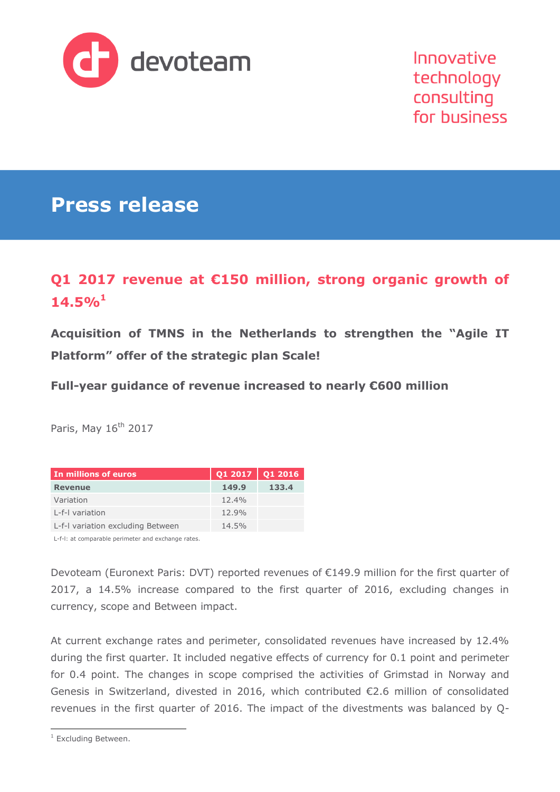

Innovative technology consulting for business

# **Press release**

# **Q1 2017 revenue at €150 million, strong organic growth of 14.5%<sup>1</sup>**

**Acquisition of TMNS in the Netherlands to strengthen the "Agile IT Platform" offer of the strategic plan Scale!**

**Full-year guidance of revenue increased to nearly €600 million**

Paris, May  $16<sup>th</sup>$  2017

| In millions of euros              | $Q12017$ Q1 2016 |       |
|-----------------------------------|------------------|-------|
| <b>Revenue</b>                    | 149.9            | 133.4 |
| Variation                         | $12.4\%$         |       |
| L-f-I variation                   | 12.9%            |       |
| L-f-I variation excluding Between | 14.5%            |       |

L-f-l: at comparable perimeter and exchange rates.

Devoteam (Euronext Paris: DVT) reported revenues of €149.9 million for the first quarter of 2017, a 14.5% increase compared to the first quarter of 2016, excluding changes in currency, scope and Between impact.

At current exchange rates and perimeter, consolidated revenues have increased by 12.4% during the first quarter. It included negative effects of currency for 0.1 point and perimeter for 0.4 point. The changes in scope comprised the activities of Grimstad in Norway and Genesis in Switzerland, divested in 2016, which contributed €2.6 million of consolidated revenues in the first quarter of 2016. The impact of the divestments was balanced by Q-

 $\overline{a}$ 

<sup>&</sup>lt;sup>1</sup> Excluding Between.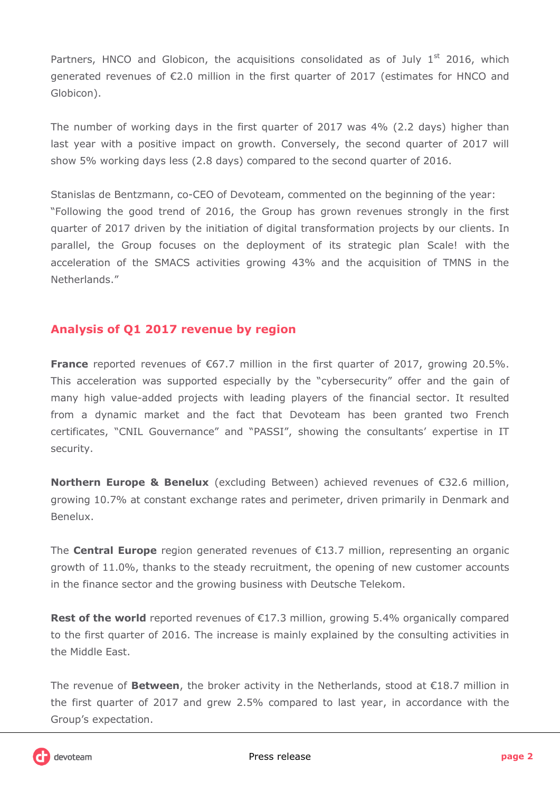Partners, HNCO and Globicon, the acquisitions consolidated as of July  $1<sup>st</sup>$  2016, which generated revenues of €2.0 million in the first quarter of 2017 (estimates for HNCO and Globicon).

The number of working days in the first quarter of 2017 was 4% (2.2 days) higher than last year with a positive impact on growth. Conversely, the second quarter of 2017 will show 5% working days less (2.8 days) compared to the second quarter of 2016.

Stanislas de Bentzmann, co-CEO of Devoteam, commented on the beginning of the year: "Following the good trend of 2016, the Group has grown revenues strongly in the first quarter of 2017 driven by the initiation of digital transformation projects by our clients. In parallel, the Group focuses on the deployment of its strategic plan Scale! with the acceleration of the SMACS activities growing 43% and the acquisition of TMNS in the Netherlands."

## **Analysis of Q1 2017 revenue by region**

**France** reported revenues of €67.7 million in the first quarter of 2017, growing 20.5%. This acceleration was supported especially by the "cybersecurity" offer and the gain of many high value-added projects with leading players of the financial sector. It resulted from a dynamic market and the fact that Devoteam has been granted two French certificates, "CNIL Gouvernance" and "PASSI", showing the consultants' expertise in IT security.

**Northern Europe & Benelux** (excluding Between) achieved revenues of €32.6 million, growing 10.7% at constant exchange rates and perimeter, driven primarily in Denmark and Benelux.

The **Central Europe** region generated revenues of €13.7 million, representing an organic growth of 11.0%, thanks to the steady recruitment, the opening of new customer accounts in the finance sector and the growing business with Deutsche Telekom.

Rest of the world reported revenues of €17.3 million, growing 5.4% organically compared to the first quarter of 2016. The increase is mainly explained by the consulting activities in the Middle East.

The revenue of **Between**, the broker activity in the Netherlands, stood at  $\epsilon$ 18.7 million in the first quarter of 2017 and grew 2.5% compared to last year, in accordance with the Group's expectation.

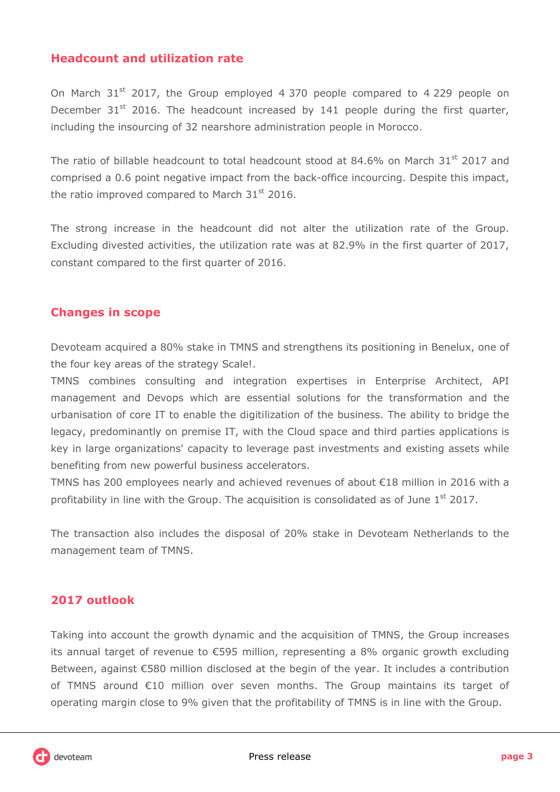## **Headcount and utilization rate**

On March  $31<sup>st</sup>$  2017, the Group employed 4 370 people compared to 4 229 people on December  $31<sup>st</sup>$  2016. The headcount increased by 141 people during the first quarter, including the insourcing of 32 nearshore administration people in Morocco.

The ratio of billable headcount to total headcount stood at  $84.6\%$  on March  $31<sup>st</sup>$  2017 and comprised a 0.6 point negative impact from the back-office incourcing. Despite this impact, the ratio improved compared to March  $31<sup>st</sup>$  2016.

The strong increase in the headcount did not alter the utilization rate of the Group. Excluding divested activities, the utilization rate was at 82.9% in the first quarter of 2017, constant compared to the first quarter of 2016.

### **Changes in scope**

Devoteam acquired a 80% stake in TMNS and strengthens its positioning in Benelux, one of the four key areas of the strategy Scale!.

TMNS combines consulting and integration expertises in Enterprise Architect, API management and Devops which are essential solutions for the transformation and the urbanisation of core IT to enable the digitilization of the business. The ability to bridge the legacy, predominantly on premise IT, with the Cloud space and third parties applications is key in large organizations' capacity to leverage past investments and existing assets while benefiting from new powerful business accelerators.

TMNS has 200 employees nearly and achieved revenues of about €18 million in 2016 with a profitability in line with the Group. The acquisition is consolidated as of June  $1<sup>st</sup>$  2017.

The transaction also includes the disposal of 20% stake in Devoteam Netherlands to the management team of TMNS.

## **2017 outlook**

Taking into account the growth dynamic and the acquisition of TMNS, the Group increases its annual target of revenue to €595 million, representing a 8% organic growth excluding Between, against €580 million disclosed at the begin of the year. It includes a contribution of TMNS around €10 million over seven months. The Group maintains its target of operating margin close to 9% given that the profitability of TMNS is in line with the Group.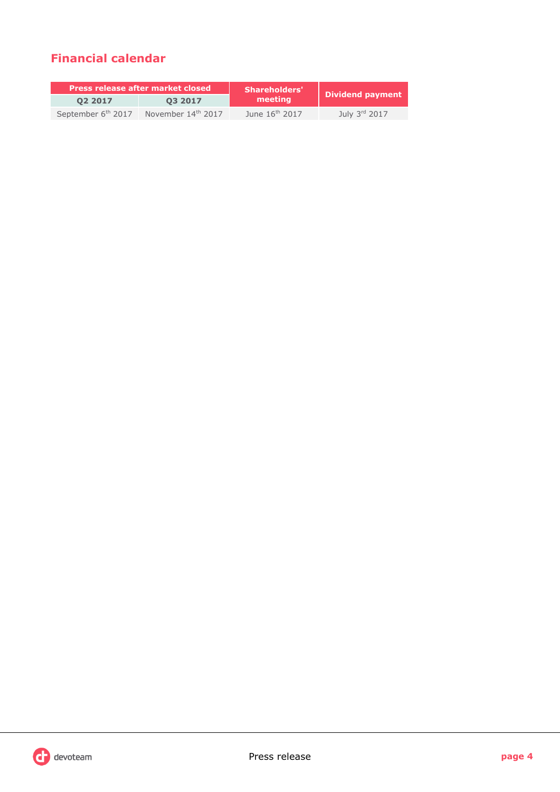# **Financial calendar**

| <b>Press release after market closed</b> |                                | <b>Shareholders'</b>       |                  |  |
|------------------------------------------|--------------------------------|----------------------------|------------------|--|
| 02 2017                                  | 03 2017                        | l meetina'                 | Dividend payment |  |
| September 6 <sup>th</sup> 2017           | November 14 <sup>th</sup> 2017 | June 16 <sup>th</sup> 2017 | July 3rd 2017    |  |

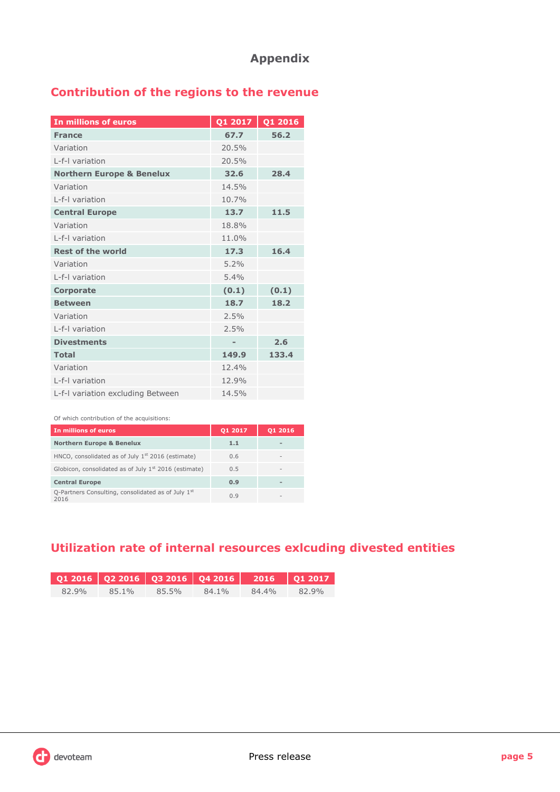# **Contribution of the regions to the revenue**

| In millions of euros                 | Q1 2017        | Q1 2016 |
|--------------------------------------|----------------|---------|
| <b>France</b>                        | 67.7           | 56.2    |
|                                      |                |         |
| Variation                            | 20.5%          |         |
| I-f-I variation                      | 20.5%          |         |
| <b>Northern Europe &amp; Benelux</b> | 32.6           | 28.4    |
| Variation                            | 14.5%          |         |
| L-f-I variation                      | 10.7%          |         |
| <b>Central Europe</b>                | 13.7           | 11.5    |
| Variation                            | 18.8%          |         |
| L-f-I variation                      | 11.0%          |         |
| <b>Rest of the world</b>             | 17.3           | 16.4    |
| Variation                            | 5.2%           |         |
| I-f-I variation                      | 5.4%           |         |
| <b>Corporate</b>                     | (0.1)          | (0.1)   |
| <b>Between</b>                       | 18.7           | 18.2    |
| Variation                            | 2.5%           |         |
| L-f-I variation                      | 2.5%           |         |
| <b>Divestments</b>                   | $\blacksquare$ | 2.6     |
| <b>Total</b>                         | 149.9          | 133.4   |
| Variation                            | 12.4%          |         |
| L-f-I variation                      | 12.9%          |         |
| L-f-I variation excluding Between    | 14.5%          |         |

#### Of which contribution of the acquisitions:

| In millions of euros                                       | 01 2017 | 01 2016                  |
|------------------------------------------------------------|---------|--------------------------|
| <b>Northern Europe &amp; Benelux</b>                       | 1.1     |                          |
| HNCO, consolidated as of July $1st$ 2016 (estimate)        | 0.6     | $\overline{\phantom{a}}$ |
| Globicon, consolidated as of July $1st$ 2016 (estimate)    | 0.5     |                          |
| <b>Central Europe</b>                                      | 0.9     |                          |
| Q-Partners Consulting, consolidated as of July 1st<br>2016 | 0.9     |                          |

# **Utilization rate of internal resources exlcuding divested entities**

| $Q12016$ $Q22016$ $Q32016$ $Q42016$ $2016$ $Q12017$ |       |       |       |       |       |
|-----------------------------------------------------|-------|-------|-------|-------|-------|
| 82.9%                                               | 85.1% | 85.5% | 84.1% | 84.4% | 82.9% |

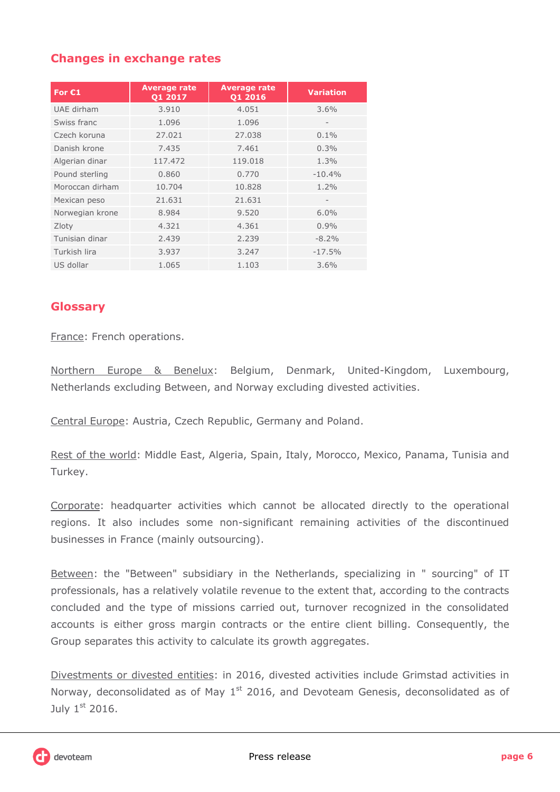# **Changes in exchange rates**

| For $C1$        | <b>Average rate</b><br>Q1 2017 | <b>Average rate</b><br>Q1 2016 | <b>Variation</b>         |
|-----------------|--------------------------------|--------------------------------|--------------------------|
| UAE dirham      | 3.910                          | 4.051                          | $3.6\%$                  |
| Swiss franc     | 1.096                          | 1.096                          | $\overline{\phantom{0}}$ |
| Czech koruna    | 27.021                         | 27.038                         | $0.1\%$                  |
| Danish krone    | 7.435                          | 7.461                          | $0.3\%$                  |
| Algerian dinar  | 117.472                        | 119.018                        | 1.3%                     |
| Pound sterling  | 0.860                          | 0.770                          | $-10.4%$                 |
| Moroccan dirham | 10.704                         | 10.828                         | 1.2%                     |
| Mexican peso    | 21.631                         | 21.631                         | $\overline{\phantom{0}}$ |
| Norwegian krone | 8.984                          | 9.520                          | $6.0\%$                  |
| Zloty           | 4.321                          | 4.361                          | 0.9%                     |
| Tunisian dinar  | 2.439                          | 2.239                          | $-8.2\%$                 |
| Turkish lira    | 3.937                          | 3.247                          | $-17.5%$                 |
| US dollar       | 1.065                          | 1.103                          | 3.6%                     |

## **Glossary**

France: French operations.

Northern Europe & Benelux: Belgium, Denmark, United-Kingdom, Luxembourg, Netherlands excluding Between, and Norway excluding divested activities.

Central Europe: Austria, Czech Republic, Germany and Poland.

Rest of the world: Middle East, Algeria, Spain, Italy, Morocco, Mexico, Panama, Tunisia and Turkey.

Corporate: headquarter activities which cannot be allocated directly to the operational regions. It also includes some non-significant remaining activities of the discontinued businesses in France (mainly outsourcing).

Between: the "Between" subsidiary in the Netherlands, specializing in " sourcing" of IT professionals, has a relatively volatile revenue to the extent that, according to the contracts concluded and the type of missions carried out, turnover recognized in the consolidated accounts is either gross margin contracts or the entire client billing. Consequently, the Group separates this activity to calculate its growth aggregates.

Divestments or divested entities: in 2016, divested activities include Grimstad activities in Norway, deconsolidated as of May  $1<sup>st</sup>$  2016, and Devoteam Genesis, deconsolidated as of July  $1<sup>st</sup>$  2016.

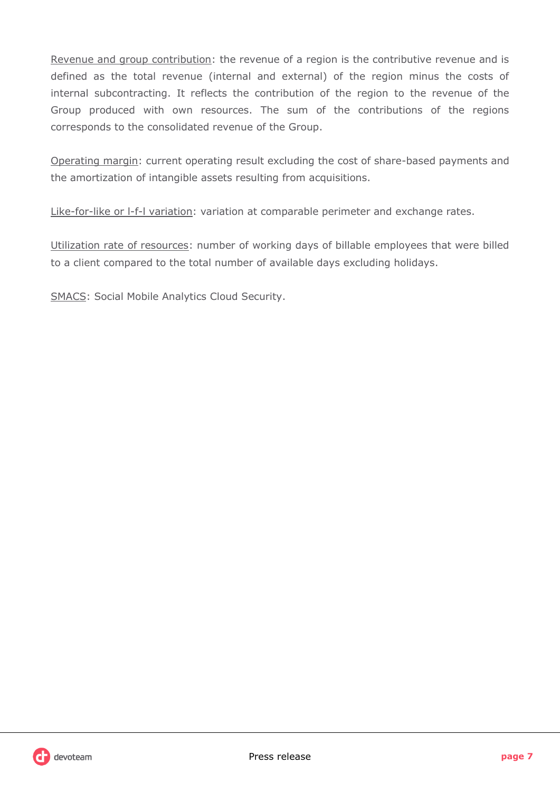Revenue and group contribution: the revenue of a region is the contributive revenue and is defined as the total revenue (internal and external) of the region minus the costs of internal subcontracting. It reflects the contribution of the region to the revenue of the Group produced with own resources. The sum of the contributions of the regions corresponds to the consolidated revenue of the Group.

Operating margin: current operating result excluding the cost of share-based payments and the amortization of intangible assets resulting from acquisitions.

Like-for-like or l-f-l variation: variation at comparable perimeter and exchange rates.

Utilization rate of resources: number of working days of billable employees that were billed to a client compared to the total number of available days excluding holidays.

SMACS: Social Mobile Analytics Cloud Security.